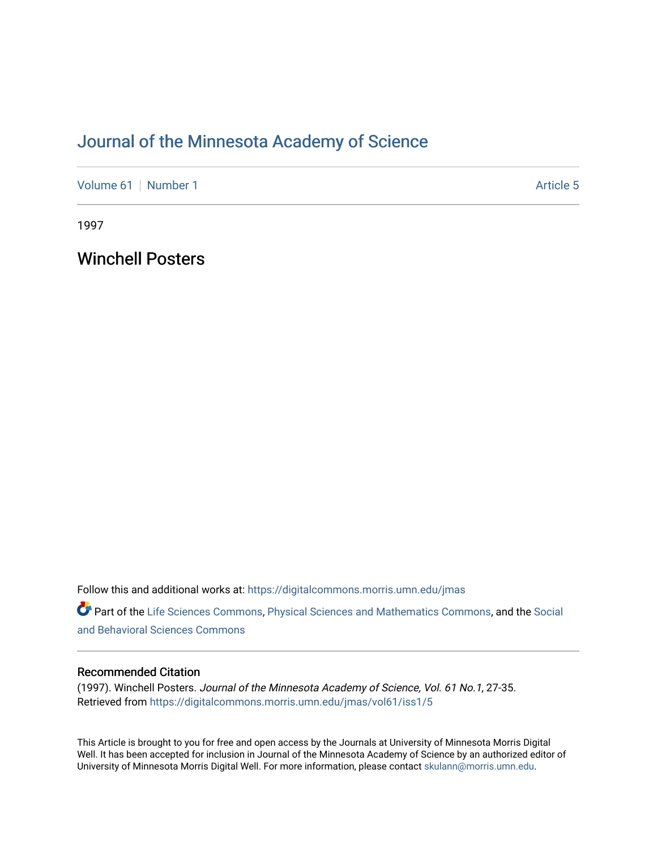# [Journal of the Minnesota Academy of Science](https://digitalcommons.morris.umn.edu/jmas)

[Volume 61](https://digitalcommons.morris.umn.edu/jmas/vol61) [Number 1](https://digitalcommons.morris.umn.edu/jmas/vol61/iss1) Article 5

1997

Winchell Posters

Follow this and additional works at: [https://digitalcommons.morris.umn.edu/jmas](https://digitalcommons.morris.umn.edu/jmas?utm_source=digitalcommons.morris.umn.edu%2Fjmas%2Fvol61%2Fiss1%2F5&utm_medium=PDF&utm_campaign=PDFCoverPages) 

Part of the [Life Sciences Commons,](https://network.bepress.com/hgg/discipline/1016?utm_source=digitalcommons.morris.umn.edu%2Fjmas%2Fvol61%2Fiss1%2F5&utm_medium=PDF&utm_campaign=PDFCoverPages) [Physical Sciences and Mathematics Commons,](https://network.bepress.com/hgg/discipline/114?utm_source=digitalcommons.morris.umn.edu%2Fjmas%2Fvol61%2Fiss1%2F5&utm_medium=PDF&utm_campaign=PDFCoverPages) and the [Social](https://network.bepress.com/hgg/discipline/316?utm_source=digitalcommons.morris.umn.edu%2Fjmas%2Fvol61%2Fiss1%2F5&utm_medium=PDF&utm_campaign=PDFCoverPages)  [and Behavioral Sciences Commons](https://network.bepress.com/hgg/discipline/316?utm_source=digitalcommons.morris.umn.edu%2Fjmas%2Fvol61%2Fiss1%2F5&utm_medium=PDF&utm_campaign=PDFCoverPages) 

# Recommended Citation

(1997). Winchell Posters. Journal of the Minnesota Academy of Science, Vol. 61 No.1, 27-35. Retrieved from [https://digitalcommons.morris.umn.edu/jmas/vol61/iss1/5](https://digitalcommons.morris.umn.edu/jmas/vol61/iss1/5?utm_source=digitalcommons.morris.umn.edu%2Fjmas%2Fvol61%2Fiss1%2F5&utm_medium=PDF&utm_campaign=PDFCoverPages)

This Article is brought to you for free and open access by the Journals at University of Minnesota Morris Digital Well. It has been accepted for inclusion in Journal of the Minnesota Academy of Science by an authorized editor of University of Minnesota Morris Digital Well. For more information, please contact [skulann@morris.umn.edu](mailto:skulann@morris.umn.edu).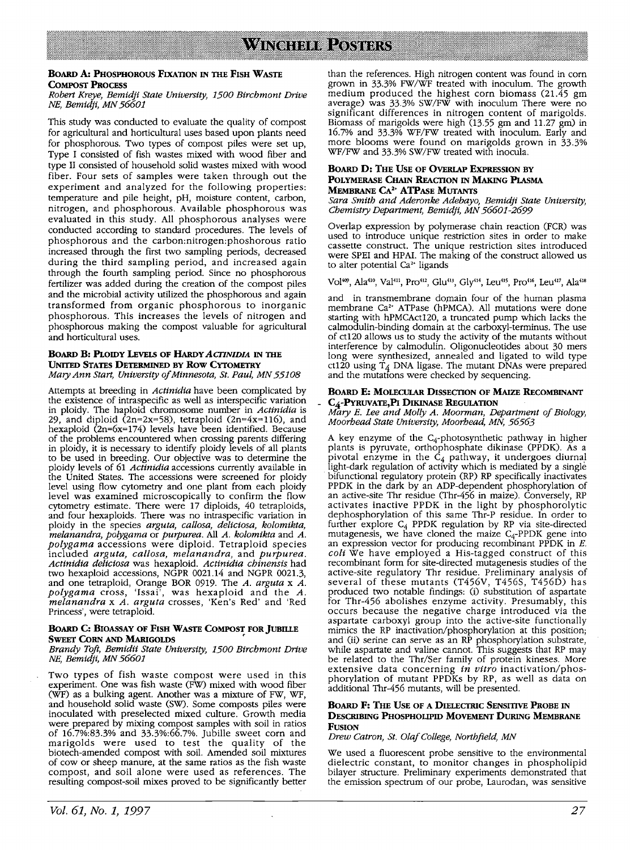# **BoARD A: PHOSPHOROUS FlxATION** IN **TIIE FISH WASTE COMPOST PROCESS**

# *Robert Kreye, Bemidji State University, 1500 Birchmont Drive NE, Bemidji, MN 56601*

This study was conducted to evaluate the quality of compost for agricultural and horticultural uses based upon plants need for phosphorous. Two types of compost piles were set up, Type I consisted of fish wastes mixed with wood fiber and type II consisted of household solid wastes mixed with wood fiber. Four sets of samples were taken through out the experiment and analyzed for the following properties: temperature and pile height, pH, moisture content, carbon, nitrogen, and phosphorous. Available phosphorous was evaluated in this study. All phosphorous analyses were conducted according to standard procedures. The levels of phosphorous and the carbon:nitrogen:phoshorous ratio increased through the first two sampling periods, decreased during the third sampling period, and increased again through the fourth sampling period. Since no phosphorous fertilizer was added during the creation of the compost piles and the microbial activity utilized the phosphorous and again transformed from organic phosphorous to inorganic phosphorous. This increases the levels of nitrogen and phosphorous making the compost valuable for agricultural and horticultural uses.

### **BOARD B: PI.OIDY LEVELS OF HARDY** *ACI1NIDIA* IN **TIIE UNITED STATES DETERMINED BY Row CYTOMETRY**  *Mary Ann Start, University of Minnesota, St. Paul, MN 55108*

Attempts at breeding in *Actinidia* have been complicated by the existence of intraspecific as well as interspecific variation in ploidy. The haploid chromosome number in *Actinidia* is 29, and diploid  $(2n=2x=58)$ , tetraploid  $(2n=4x=116)$ , and hexaploid (2n=6x=174) levels have been identified. Because of the problems encountered when crossing parents differing in ploidy, it is necessary to identify ploidy levels of all plants to be used in breeding. Our objective was to determine the ploidy levels of 61 *Actinidia* accessions currently available in the United States. The accessions were screened for ploidy level using flow cytometry and one plant from each ploidy level was examined microscopically to confirm the flow cytometry estimate. There were 17 diploids, 40 tetraploids, and four hexaploids. There was no intraspecific variation in ploidy in the species *arguta, callosa, deliciosa, kolomikta, melanandra, polygama* or *purpurea.* All A. *kolomikta* and *A. polygama* accessions were diploid. Tetraploid species included *arguta, callosa, melanandra,* and *purpurea. Actinidia deliciosa* was hexaploid. *Actinidia chinensis* had two hexaploid accessions, NGPR 0021.14 and NGPR 0021.3, and one tetraploid, Orange BOR 0919. The *A. arguta* x *A. polygama* cross, 'Issai', was hexa ploid and the *A. melanandra* x *A. arguta* crosses, 'Ken's Red' and 'Red Princess', were tetraploid.

### **BOARD C: BIOASSAY OF FISH WASTE COMPOST FOR JUBIILE SWEET CORN AND MARIGOLDS**

### *Brandy Toft, Bemidii State University, 1500 Birchmont Drive NE, Bemidji, MN 56601*

Two types of fish waste compost were used in this experiment. One was fish waste (FW) mixed with wood fiber (WF) as a bulking agent. Another was a mixture of FW, WF, and household solid waste (SW). Some composts piles were inoculated with preselected mixed culture. Growth media were prepared by mixing compost samples with soil in ratios of 16.7%:83.3% and 33.3%:66.7%. Jubille sweet corn and marigolds were used to test the quality of the biotech-amended compost with soil. Amended soil mixtures of cow or sheep manure, at the same ratios as the fish waste compost, and soil alone were used as references. The resulting compost-soil mixes proved to be significantly better

than the references. High nitrogen content was found in corn grown in 33.3% FW /WF treated with inoculum. The growth medium produced the highest corn biomass (21.45 gm average) was 33.3% SW/FW with inoculum There were no significant differences in nitrogen content of marigolds. Biomass of marigolds were high (13.55 gm and 11.27 gm) in 16.7% and 33.3% WF/FW treated with inoculum. Early and more blooms were found on marigolds grown in 33.3% WF/FW and 33.3% SW/FW treated with inocula.

# **BOARD D: THE USE OF OVERIAP EXPRESSION BY POLYMERASE CHAIN REACTION IN MAKING PLASMA MEMBRANE CA<sup>2</sup> <sup>+</sup>ATPASE MUTANTS**

*Sara Smith and Aderonke Adebayo, Bemidji State University, Chemistry Department, Bemidji, MN 56601-2699* 

Overlap expression by polymerase chain reaction (FCR) was used to introduce unique restriction sites in order to make cassette construct. The unique restriction sites introduced were SPEI and HPAI. The making of the construct allowed us to alter potential Ca<sup>2+</sup> ligands

Vol<sup>409</sup>, Ala<sup>410</sup>, Val<sup>411</sup>, Pro<sup>412</sup>, Glu<sup>413</sup>, Gly<sup>414</sup>, Leu<sup>415</sup>, Pro<sup>416</sup>, Leu<sup>417</sup>, Ala<sup>418</sup>

and in transmembrane domain four of the human plasma membrane Ca<sup>2+</sup> ATPase (hPMCA). All mutations were done starting with hPMCAct120, a truncated pump which lacks the calmodulin-binding domain at the carboxyl-terminus. The use of ct120 allows us to study the activity of the mutants without interference by calmodulin. Oligonucleotides about 30 mers long were synthesized, annealed and ligated to wild type ct120 using  $T_4$  DNA ligase. The mutant DNAs were prepared and the mutations were checked by sequencing.

# **BOARD E: MOLECULAR DISSECTION OF MAIZE RECOMBINANT** - **C4-PYRUVATE,Pl DIKINASE REGUIATION**

*Mary* E. *Lee and Molly A. Moorman, Department of Biology, Moorhead State University, Moorhead, MN, 56563* 

A key enzyme of the  $C_4$ -photosynthetic pathway in higher plants is pyruvate, orthophosphate dikinase (PPDK). As a pivotal enzyme in the  $C_4$  pathway, it undergoes diurnal light-dark regulation of activity which is mediated by a single bifunctional regulatory protein (RP) RP specifically inactivates PPDK in the dark by an ADP-dependent phosphorylation of an active-site Thr residue (Thr-456 in maize). Conversely, RP activates inactive PPDK in the light by phosphorolytic dephosphorylation of this same Thr-P residue. In order to further explore  $C_4$  PPDK regulation by RP via site-directed mutagenesis, we have cloned the maize  $C_4$ -PPDK gene into an expression vector for producing recombinant PPDK in  $E$ . *coli* We have employed a His-tagged construct of this recombinant form for site-directed mutagenesis studies of the active-site regulatory Thr residue. Preliminary analysis of several of these mutants (T456V, T456S, T456D) has produced two notable findings: (i) substitution of aspartate for Thr-456 abolishes enzyme activity. Presumably, this occurs because the negative charge introduced via the aspartate carboxyl group into the active-site functionally mimics the RP inactivation/phosphorylation at this position; and (ii) serine can serve as an RP phosphorylation substrate, while aspartate and valine cannot. This suggests that RP may be related to the Thr/Ser family of protein kineses. More extensive data concerning *in vitro* inactivation/phosphorylation of mutant PPDKs by RP, as well as data on additional Thr-456 mutants, will be presented.

### **BOARD F: THE USE OF A DIELECTRIC SENSITIVE PROBE** IN **DESCRIBING PHOSPHOLIPID MOVEMENT DURING MEMBRANE FUSION**

*Drew Catron, St. Olaf College, Northfield, MN* 

We used a fluorescent probe sensitive to the environmental dielectric constant, to monitor changes in phospholipid bilayer structure. Preliminary experiments demonstrated that the emission spectrum of our probe, Laurodan, was sensitive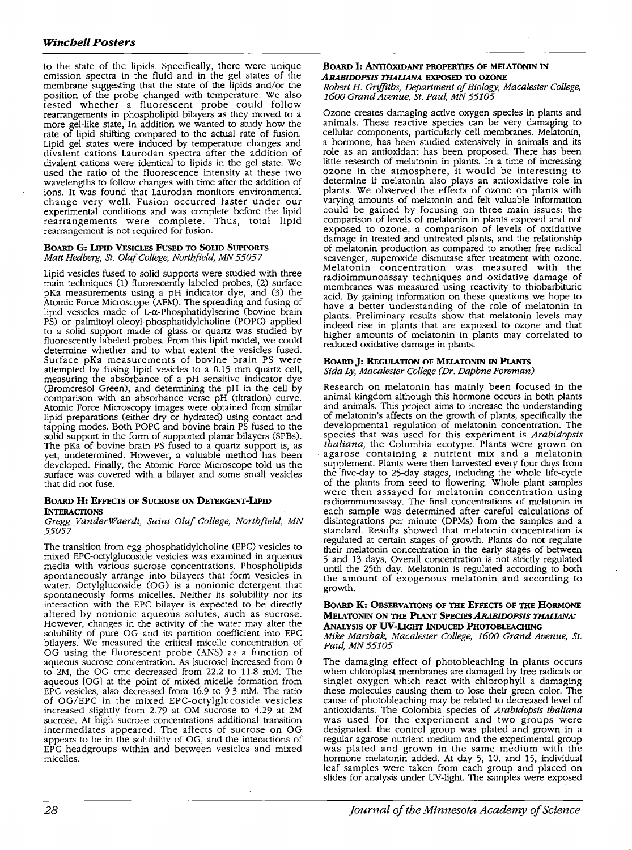to the state of the lipids. Specifically, there were unique emission spectra in the fluid and in the gel states of the membrane suggesting that the state of the lipids and/or the position of the probe changed with temperature. We also tested whether a fluorescent probe could follow rearrangements in phospholipid bilayers as they moved to a more gel-like state, In addition we wanted to study how the rate of lipid shifting compared to the actual rate of fusion. Lipid gel states were induced by temperature changes and divalent cations Laurodan spectra after the addition of divalent cations were identical to lipids in the gel state. We used the ratio of the fluorescence intensity at these two wavelengths to follow changes with time after the addition of ions. It was found that Laurodan monitors environmental change very well. Fusion occurred faster under our experimental conditions and was complete before the lipid rearrangements were complete. Thus, total lipid rearrangement is not required for fusion.

### **BOARD G: LIPID VESICLES FUSED TO SOUD SUPPORTS**  *Matt Hedberg, St. Olaf College, Northfield, MN 55057*

Lipid vesicles fused to solid supports were studied with three main techniques (1) fluorescently labeled probes, (2) surface pKa measurements using a pH indicator dye, and (3) the Atomic Force Microscope (AFM). The spreading and fusing of lipid vesicles made of  $L-\alpha$ -Phosphatidylserine (bovine brain PS) or palmitoyl-oleoyl-phosphatidylcholine (POPC) applied to a solid support made of glass or quartz was studied by fluorescently labeled probes. From this lipid model, we could determine whether and to what extent the vesicles fused. Surface pKa measurements of bovine brain PS were attempted by fusing lipid vesicles to a 0.15 mm quartz cell, measuring the absorbance of a pH sensitive indicator dye (Bromcresol Green), and determining the pH in the cell by comparison with an absorbance verse pH (titration) curve. Atomic Force Microscopy images were obtained from similar lipid preparations (either dry or hydrated) using contact and tapping modes. Both POPC and bovine brain PS fused to the solid support in the form of supported planar bilayers (SPBs). The pKa of bovine brain PS fused to a quartz support is, as yet, undetermined. However, a valuable method has been developed. Finally, the Atomic Force Microscope told us the surface was covered with a bilayer and some small vesicles that did not fuse.

# **BOARD H: EFFECTS OF SUCROSE ON DETERGENT-LIPID INTERACTIONS**

# *Gregg VanderWaerdt, Saint Olaf College, Northfield, MN 55057*

The transition from egg phosphatidylcholine (EPC) vesicles to mixed EPC-octylglucoside vesicles was examined in aqueous media with various sucrose concentrations. Phospholipids spontaneously arrange into bilayers that form vesicles in water. Octylglucoside (OG) is a nonionic detergent that spontaneously forms micelles. Neither its solubility nor its interaction with the EPC bilayer is expected to be directly altered by nonionic aqueous solutes, such as sucrose. However, changes in the activity of the water may alter the solubility of pure OG and its partition coefficient into EPC bilayers. We measured the critical micelle concentration of OG using the fluorescent probe (ANS) as a function of aqueous sucrose concentration. As [sucrose] increased from 0 to 2M, the OG cmc decreased from 22.2 to 11.8 mM. The aqueous [OG] at the point of mixed micelle formation from EPC vesicles, also decreased from 16.9 to 9.3 mM. The ratio of OG/EPC in the mixed EPC-octylglucoside vesicles increased slightly from 2.79 at OM sucrose to 4.29 at 2M sucrose. At high sucrose concentrations additional transition intermediates appeared. The affects of sucrose on OG appears to be in the solubility of OG, and the interactions of EPC headgroups within and between vesicles and mixed micelles.

# BOARD I: **ANTIOXIDANT PROPERTIES OF MELATONIN** IN *ARABIDOPSIS THAL/ANA* **EXPOSED TO OZONE**

*Robert H. Griffiths, Department of Biology, Macalester College, 1600 Grand Avenue, St. Paul, MN 55105* 

Ozone creates damaging active oxygen species in plants and animals. These reactive species can be very damaging to cellular components, particularly cell membranes. Melatonin, a hormone, has been studied extensively in animals and its role as an antioxidant has been proposed. There has been little research of melatonin in plants. In a time of increasing ozone in the atmosphere, it would be interesting to determine if melatonin also plays an antioxidative role in plants. We observed the effects of ozone on plants with varying amounts of melatonin and felt valuable information could be gained by focusing on three main issues: the comparison of levels of melatonin in plants exposed and not exposed to ozone, a comparison of levels of oxidative damage in treated and untreated plants, and the relationship of melatonin production as compared to another free radical scavenger, superoxide dismutase after treatment with ozone. Melatonin concentration was measured with the radioimmunoassay techniques and oxidative damage of membranes was measured using reactivity to thiobarbituric acid. By gaining information on these questions we hope to have a better understanding of the role of melatonin in plants. Preliminary results show that melatonin levels may indeed rise in plants that are exposed to ozone and that higher amounts of melatonin in plants may correlated to reduced oxidative damage in plants.

### **BOARD J: REGULATION OF MELATONIN IN PLANTS** *Sida* Ly, *Macalester College (Dr. Daphne Foreman)*

Research on melatonin has mainly been focused in the animal kingdom although this hormone occurs in both plants and animals. This project aims to increase the understanding of melatonin's affects on the growth of plants, specifically the developmental regulation of melatonin concentration. The species that was used for this experiment is *Arabidopsis thaliana,* the Columbia ecotype. Plants were grown on agarose containing a nutrient **mix** and a melatonin supplement. Plants were then harvested every four days from the five-day to 25-day stages, including the whole life-cycle of the plants from seed to flowering. Whole plant samples were then assayed for melatonin concentration using radioimmunoassay. The final concentrations of melatonin in each sample was determined after careful calculations of disintegrations per minute (DPMs) from the samples and a standard. Results showed that melatonin concentration is regulated at certain stages of growth. Plants do not regulate their melatonin concentration in the early stages of between 5 and 13 days, Overall concentration is not strictly regulated until the 25th day. Melatonin is regulated according to both the amount of exogenous melatonin and according to growth.

### **BOARD K: OBSERVATIONS OF THE EFFECTS OF THE HORMONE MELATONIN ON 1HE Pl.ANT** *SPEOESARABIDOPSIS 1HALIANA:*  **ANALYSIS OF UV-LIGHT INDUCED PHOTOBLEACHING**

*Mike Marshak, Macalester College, 1600 Grand Avenue, St. Paul, MN 55105* 

The damaging effect of photobleaching in plants occurs when chloroplast membranes are damaged by free radicals or singlet oxygen which react with chlorophyll a damaging these molecules causing them to lose their green color. The cause of photobleaching may be related to decreased level of antioxidants. The Colombia species of *Arabidopsis thaliana* was used for the experiment and two groups were designated: the control group was plated and grown in a regular agarose nutrient medium and the experimental group was plated and grown in the same medium with the hormone melatonin added. At day 5, 10, and 15, individual leaf samples were taken from each group and placed on slides for analysis under UV-light. The samples were exposed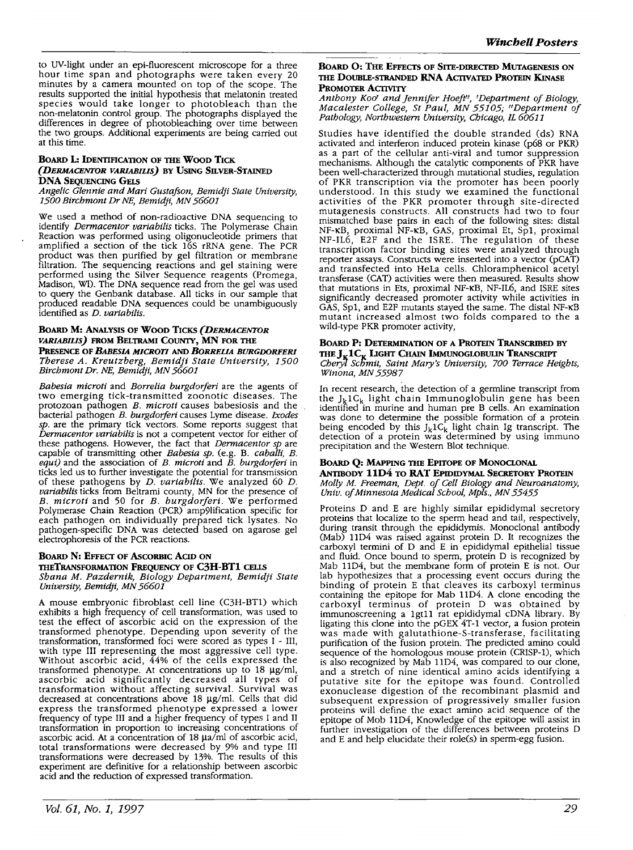to UV-light under an epi-fluorescent microscope for a three hour time span and photographs were taken every 20 minutes by a camera mounted on top of the scope. The results supported the initial hypothesis that melatonin treated species would take longer to photobleach than the non-melatonin control group. The photographs displayed the differences in degree of photobleaching over time between the two groups. Additional experiments are being carried out at this time.

# **BOARD L: IDENTIFICATION OF THE Woon TICK**  *(DERMACENTOR VARIABILIS)* **BY USING SILVER-STAINED DNA SEQUENCING GEI.S**

*Angelic Glennie and Mari Gustafson, Bemidji State University,*  1500 *Birchmont Dr NE, Bemidji, MN* 56601

We used a method of non-radioactive DNA sequencing to identify *Dermacentor variabi/is* ticks. The Polymerase Chain Reaction was performed using oligonucleotide primers that amplified a section of the tick 16S rRNA gene. The PCR product was then purified by gel filtration or membrane filtration. The sequencing reactions and gel staining were<br>performed using the Silver Sequence reagents (Promega, Madison, WI). The DNA sequence read from the gel was used to query the Genbank database. All ticks in our sample that produced readable DNA sequences could be unambiguously identified as *D. variabi/is.* 

### **BOARD M: ANALYSIS OF Woon TICKS** *(DERMACENTOR VARIABILIS)* **FROM BELTRAMI COUNTY, MN FOR THE PREsENCE OF** *BABESIA MICROTI* **AND** *BORRELIA BURGDORFER/ Therese A. Kreutzberg, Bemidji State University,* 1500 *Birchmont Dr. NE, Bemidji, MN* 56601

*Babesia microti* and *Borre/ia burgdorferi* are the agents of two emerging tick-transmitted zoonotic diseases. The protozoan pathogen *B. microti* causes babesiosis and the bacterial pathogen *B. burgdorferi* causes Lyme disease. *Ixodes sp.* are the primary tick vectors. Some reports suggest that *Dermacentor variabilis* is not a competent vector for either of these pathogens. However, the fact that *Dermacentor sp* are capable of transmitting other *Babesia sp.* (e.g. B. *caballi, B. equi)* and the association of *B. microti* and *B. burgdorferi* in ticks led us to further investigate the potential for transmission of these pathogens by *D. variabi/is.* We analyzed 60 *D. variabilis* ticks from Beltrami county, MN for the presence of *B. microti* and 50 for *B. burgdorferi.* We performed Polymerase Chain Reaction (PCR) amp9lification specific for each pathogen on individually prepared tick lysates. No pathogen-specific DNA was detected based on agarose gel electrophoresis of the PCR reactions.

# **BOARD N: EFFECT OF AsCORBIC ACID ON**

# **THETRANSFORMATION FREQUENCY OF C3H-BT1 CELLS**

*Shana M. Pazdernik, Biology Department, Bemidji State University, Bemidji, MN* 56601

**A** mouse embryonic fibroblast cell line (C3H-BT1) which exhibits a high frequency of cell transformation, was used to test the effect of ascorbic acid on the expression of the transformed phenotype. Depending upon severity of the transformation, transformed foci were scored as types I - III, with type III representing the most aggressive cell type. Without ascorbic acid, 44% of the cells expressed the transformed phenotype. At concentrations up to 18 µg/ml, ascorbic acid significantly decreased all types of transformation without affecting survival. Survival was decreased at concentrations above 18 µg/ml. Cells that did express the transformed phenotype expressed a lower frequency of type III and a higher frequency of types I and II transformation in proportion to increasing concentrations of ascorbic acid. At a concentration of 18 µa/ml of ascorbic acid, total transformations were decreased by 9% and type III transformations were decreased by 13%. The results of this experiment are definitive for a relationship between ascorbic acid and the reduction of expressed transformation.

# *Vol. 61, No.* **1,** *1997*

# **BOARD 0: THE EFFECTS OF SITE-DIRECTED MUTAGENESIS ON THE DOUBLE-STRANDED RNA ACTIVATED PROTEIN KINASE PROMOTER ACTIVITY**

*Anthony Kod and Jennifer Hoeft11, 1 Department of Biology, Macalester College, St Paul, MN* 55105; *11Department of*  Pathology, Northwestern University, Chicago, IL 60611

Studies have identified the double stranded (ds) RNA activated and interferon induced protein kinase (p68 or PKR) as a part of the cellular anti-viral and tumor suppression mechanisms. Although the catalytic components of PKR have been well-characterized through mutational studies, regulation of PKR transcription via the promoter has been poorly understood. In this study we examined the functional activities of the PKR promoter through site-directed mutagenesis constructs. All constructs had two to four mismatched base pairs in each of the following sites: distal NF-KB, proximal NF-KB, GAS, proximal Et, Spl, proximal NF-IL6, E2F and the ISRE. The regulation of these transcription factor binding sites were analyzed through reporter assays. Constructs were inserted into a vector (pCAT) and transfected into HeLa cells. Chloramphenicol acetyl transferase (CAT) activities were then measured. Results show that mutations in Ets, proximal NF-KB, NF-IL6, and ISRE sites significantly decreased promoter activity while activities in GAS, Spl, and E2F mutants stayed the same. The distal NF-KB mutant increased almost two folds compared to the a wild-type PKR promoter activity,

# **BOARD P: DETERMINATION OF A PROTEIN TRANSCRIBED BY**

THE  $J_K$ **1C<sub>K</sub> LIGHT CHAIN IMMUNOGLOBULIN TRANSCRIPT** *Chery1 sc'/Jmit, Saint Mary's University,* 700 *Terrace Heights, Winona, MN* 55987

In recent research, the detection of a germline transcript from the  $J_kIC_k$  light chain Immunoglobulin gene has been identified in murine and human pre B cells. An examination was done to determine the possible formation of a protein being encoded by this  $J_k 1C_k$  light chain Ig transcript. The detection of a protein was determined by using immuno precipitation and the Western Blot technique.

#### **BOARD Q: MAPPING THE EPITOPE OF MONOCLONAL ANTIBODY 11D4 TO RAT EPIDIDYMAL SECRETORY PROTEIN**

*Molly M. Freeman, Dept. of Cell Biology and Neuroanatomy, Univ. of Minnesota Medical School, Mpls., MN* 55455

Proteins D and E are highly similar epididymal secretory proteins that localize to the sperm head and tail, respectively, during transit through the epididymis. Monoclonal antibody (Mab) 11D4 was raised against protein D. It recognizes the carboxyl termini of D and E in epididymal epithelial tissue and fluid. Once bound to sperm, protein D is recognized by Mab 11D4, but the membrane form of protein E is not. Our lab hypothesizes that a processing event occurs during the binding of protein E that cleaves its carboxyl terminus containing the epitope for Mab 11D4. A clone encoding the carboxyl terminus of protein D was obtained by immunoscreening a 1gt11 rat epididymal cDNA library. By ligating this clone into the pGEX 4T-1 vector, a fusion protein was made with galutathione-S-transferase, facilitating purification of the fusion protein. The predicted amino could sequence of the homologous mouse protein (CRISP-I), which is also recognized by Mab 11D4, was compared to our clone, and a stretch of nine identical amino acids identifying a putative site for the epitope was found. Controlled exonuclease digestion of the recombinant plasmid and subsequent expression of progressively smaller fusion proteins will define the exact amino acid sequence of the epitope of Mob 11D4, Knowledge of the epitope will assist in further investigation of the differences between proteins D and E and help elucidate their role(s) in sperm-egg fusion.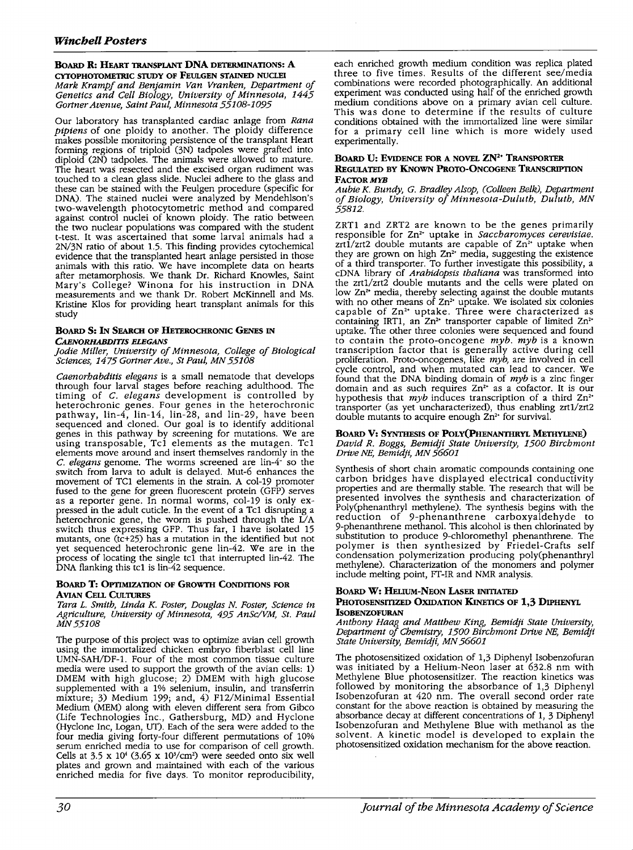# **BoARD R: HEART TRANSPLANT DNA DETERMINATIONS: A**

**CYTOPHOTOMETRIC STUDY OF FEULGEN STAINED NUCLEI**  *Mark Kramp/ and Benjamin Van Vranken, Department of Genetics and Cell Biology, University of Minnesota, 1445 Gartner Avenue, Saint Paul, Minnesota 55108-1095* 

Our laboratory has transplanted cardiac anlage from *Rana pipiens* of one ploidy to another. The ploidy difference makes possible monitoring persistence of the transplant Heart forming regions of triploid (3N) tadpoles were grafted into diploid (2N) tadpoles. The animals were allowed to mature. The heart was resected and the excised organ rudiment was touched to a clean glass slide. Nuclei adhere to the glass and these can be stained with the Feulgen procedure (specific for DNA). The stained nuclei were analyzed by Mendehlson's two-wavelength photocytometric method and compared against control nuclei of known ploidy. The ratio between the two nuclear populations was compared with the student t-test. It was ascertained that some larval animals had a 2N/3N ratio of about 1.5. This finding provides cytochemical evidence that the transplanted heart anlage persisted in those animals with this ratio. We have incomplete data on hearts after metamorphosis. We thank Dr. Richard Knowles, Saint Mary's College? Winona for his instruction in DNA measurements and we thank Dr. Robert McKinnell and Ms. Kristine Klos for providing heart transplant animals for this study

# **BoARD S:** IN **SEARCH OF HETEROCHRONIC GENES** IN

*CAENORHABDITIS ELEGANS* 

*Jodie Miller, University of Minnesota, College of Biological Sciences, 1475 Gartner Ave., St Paul, MN 55108* 

*Caenorhabditis elegans* is a small nematode that develops through four larval stages before reaching adulthood. The timing of *C. elegans* development is controlled by heterochronic genes. Four genes in the heterochronic pathway, lin-4, lin-14, lin-28, and lin-29, have been sequenced and cloned. Our goal is to identify additional genes in this pathway by screening for mutations. We are using transposable, Tc1 elements as the mutagen. Tc1 elements move around and insert themselves randomly in the *C. elegans* genome. The worms screened are lin-4- so the switch from larva to adult is delayed. Mut-6 enhances the movement of TC1 elements in the strain. A col-19 promoter fused to the gene for green fluorescent protein (GFP) serves as a reporter gene. In normal worms, col-19 is only ex-<br>pressed in the adult cuticle. In the event of a Tc1 disrupting a heterochronic gene, the worm is pushed through the  $\check{L}/A$ switch thus expressing GFP. Thus far, I have isolated 15 mutants, one (tc+25) has a mutation in the identified but not yet sequenced heterochronic gene lin-42. We are in the process of locating the single tel that interrupted lin-42. The DNA flanking this tc1 is lin-42 sequence.

# **BOARD T: OPTIMIZATION OF GROWTH CONDITIONS FOR AVIAN CELL CULTURES**

*Tara L. Smith, Linda* K. *Foster, Douglas N. Foster, Science in Agriculture, University of Minnesota, 495 AnSc/VM, St. Paul MN55108* 

The purpose of this project was to optimize avian cell growth using the immortalized chicken embryo fiberblast cell line UMN-SAH/DF-1. Four of the most common tissue culture media were used to support the growth of the avian cells: 1) DMEM with high glucose; 2) DMEM with high glucose supplemented with a 1% selenium, insulin, and transferrin mixture; 3) Medium 199; and, 4) F12/Minimal Essential Medium (MEM) along with eleven different sera from Gibco (Life Technologies Inc., Gathersburg, MD) and Hyclone (Hyclone Inc, Logan, UT). Each of the sera were added to the four media giving forty-four different permutations of 10% serum enriched media to use for comparison of cell growth. Cells at  $3.5 \times 10^4$  ( $3.65 \times 10^3$ /cm<sup>2</sup>) were seeded onto six well plates and grown and maintained with each of the various enriched media for five days. To monitor reproducibility,

each enriched growth medium condition was replica plated three to five times. Results of the different see/media combinations were recorded photographically. An additional experiment was conducted using half of the enriched growth medium conditions above on a primary avian cell culture. This was done to determine if the results of culture conditions obtained with the immortalized line were similar for a primary cell line which is more widely used experimentally.

### **BOARD U: EVIDENCE FOR A NOVEL ZN<sup>2</sup> • TRANSPORTER REGULATED BY KNOWN PROTO-ONCOGENE TRANSCRIPTION FACTOR MYR**

#### *Aubie* K. *Bundy, G. Bradley Alsop, (Colleen Belk), Department of Biology, University of Minnesota-Duluth, Duluth, MN 55812.*

ZRTl and ZRT2 are known to be the genes primarily responsible for Zn<sup>2</sup> • uptake in *Saccharomyces cerevisiae.*   $zrt1/zrt2$  double mutants are capable of  $Zn<sup>2+</sup>$  uptake when they are grown on high  $Zn<sup>2+</sup>$  media, suggesting the existence of a third transporter. To further investigate this possibility, a cDNA library of *Arabidopsis thaliana* was transformed into the zrt1/zrt2 double mutants and the cells were plated on low Zn<sup>2</sup> media, thereby selecting against the double mutants with no other means of  $Zn^2$  uptake. We isolated six colonies capable of Zn<sup>2+</sup> uptake. Three were characterized as containing IRT1, an  $Zn^2$  transporter capable of limited  $Zn^2$ uptake. The other three colonies were sequenced and found to contain the proto-oncogene *myb. myb* is a known transcription factor that is generally active during cell proliferation. Proto-oncogenes, like *myb,* are involved in cell cycle control, and when mutated can lead to cancer. We found that the DNA binding domain of *myb* is a zinc finger domain and as such requires  $Zn^2$  as a cofactor. It is our domain and as such requires Zn<sup>2+</sup> as a cofactor. It is our hypothesis that *myb* induces transcription of a third Zn<sup>2+</sup> transporter (as yet uncharacterized), thus enabling zrtl/zrt2 double mutants to acquire enough Zn<sup>2+</sup> for survival.

### **BOARD V: SYNTHESIS OF PoLY(PHENANTHRYL METHYLENE)**  *David R. Boggs, Bemidji State University, 1500 Birchmont Drive NE, Bemidji, MN 56601*

Synthesis of short chain aromatic compounds containing one carbon bridges have displayed electrical conductivity properties and are thermally stable. The research that will be presented involves the synthesis and characterization of Poly(phenanthryl methylene). The synthesis begins with the reduction of 9-phenanthrene carboxyaldehyde to 9-phenanthrene methanol. This alcohol is then chlorinated by substitution to produce 9-chloromethyl phenanthrene. The polymer is then synthesized by Friedel-Crafts self condensation polymerization producing poly(phenanthryl methylene). Characterization of the monomers and polymer include melting point, FT-IR and NMR analysis.

### **BOARD W: HELIUM-NEON LAsER INITIATED PHOTOSENSITIZED OXIDATION KINETICS OF 1,3 DIPHENYL ISOBENZOFURAN**

*Anthony Haag and Matthew King, Bemidji State University, Department of Chemistry, 1500 Birchmont Drive NE, Bemidji State University, Bemidji, MN 56601* 

The photosensitized oxidation of 1,3 Diphenyl Isobenzofuran was initiated by a Helium-Neon laser at 632.8 nm with Methylene Blue photosensitizer. The reaction kinetics was followed by monitoring the absorbance of 1,3 Diphenyl Isobenzofuran at 420 nm. The overall second order rate constant for the above reaction is obtained by measuring the absorbance decay at different concentrations of 1, 3 Diphenyl Isobenzofuran and Methylene Blue with methanol as the solvent. A kinetic model is developed to explain the photosensitized oxidation mechanism for the above reaction.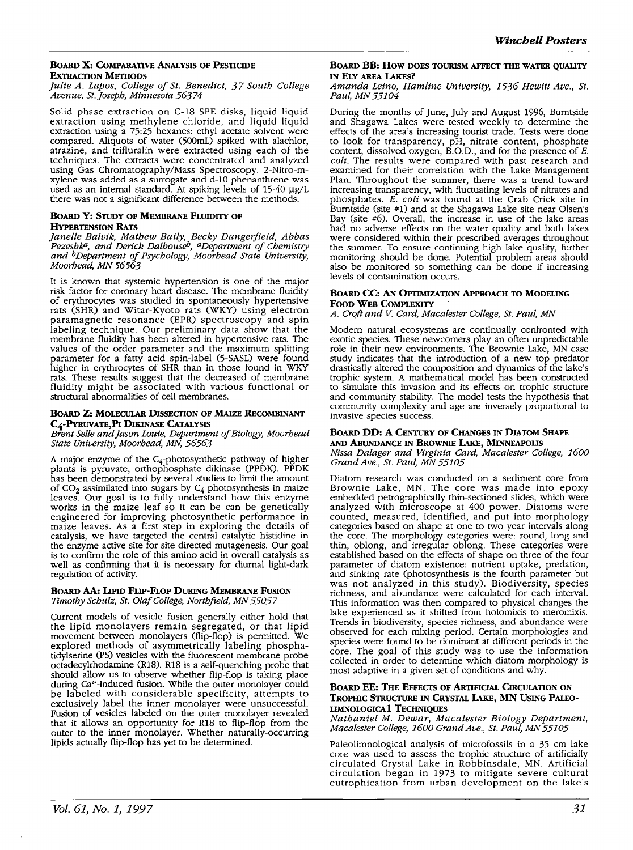# **BOARD X: COMPARATIVE ANALYSIS OF PESTICIDE EXTRACTION METHODS**

# *Julie A. Lapos, College of St. Benedict, 37 South College Avenue. St.Joseph, Minnesota 56374*

Solid phase extraction on C-18 SPE disks, liquid liquid extraction using methylene chloride, and liquid liquid extraction using a 75:25 hexanes: ethyl acetate solvent were compared. Aliquots of water (500mL) spiked with alachlor, atrazine, and trifluralin were extracted using each of the techniques. The extracts were concentrated and analyzed using Gas Chromatography/Mass Spectroscopy. 2-Nitro-mxylene was added as a surrogate and d-10 phenanthrene was used as an internal standard. At spiking levels of 15-40 µg/L there was not a significant difference between the methods.

# **BOARD Y: STUDY OF MEMBRANE FLUIDITY OF HYPERTENSION RATS**

*Janelle Balvik, Mathew Baily, Becky Dangerfield, Abbas Pezeshk", and Derick Dalhouseh, a Department of Chemistry and hDepartment of Psychology, Moorhead State University, Moorhead, MN 56563* 

It is known that systemic hypertension is one of the major risk factor for coronary heart disease. The membrane fluidity of erythrocytes was studied in spontaneously hypertensive rats (SHR) and Witar-Kyoto rats (WKY) using electron paramagnetic resonance (EPR) spectroscopy and spin labeling technique. Our preliminary data show that the membrane fluidity has been altered in hypertensive rats. The values of the order parameter and the maximum splitting parameter for a fatty acid spin-label (5-SASL) were found higher in erythrocytes of SHR than in those found in WKY rats. These results suggest that the decreased of membrane fluidity might be associated with various functional or structural abnormalities of cell membranes.

# **BOARD Z: MOLECULAR DISSECTION OF MAlzE RECOMBINANT C4-PYRUVATE,PI DIKINASE CATALYSIS**

*Brent Selle and Jason Louie, Department of Biology, Moorhead State University, Moorhead, MN, 56563* 

A major enzyme of the  $C_4$ -photosynthetic pathway of higher plants is pyruvate, orthophosphate dikinase (PPDK). PPDK has been demonstrated by several studies to limit the amount of  $CO_2$  assimilated into sugars by  $C_4$  photosynthesis in maize leaves. Our goal is to fully understand how this enzyme works in the maize leaf so it can be can be genetically engineered for improving photosynthetic performance in maize leaves. As a first step in exploring the details of catalysis, we have targeted the central catalytic histidine in the enzyme active-site for site directed mutagenesis. Our goal<br>is to confirm the role of this amino acid in overall catalysis as well as confirming that it is necessary for diurnal light-dark regulation of activity.

### **BOARD AA: LIPID FLIP-FLOP DURING MEMBRANE FuSION**  Timothy Schulz, St. Olaf College, Northfield, MN 55057

Current models of vesicle fusion generally either hold that the lipid monolayers remain segregated, or that lipid movement between monolayers (flip-flop) is permitted. We explored methods of asymmetrically labeling phosphatidylserine (PS) vesicles with the fluorescent membrane probe octadecylrhodamine (R18). R18 is a self-quenching probe that should allow us to observe whether flip-flop is taking place during Ca<sup>2</sup> •-induced fusion. While the outer monolayer could be labeled with considerable specificity, attempts to exclusively label the inner monolayer were unsuccessful. Fusion of vesicles labeled on the outer monolayer revealed that it allows an opportunity for R18 to flip-flop from the outer to the inner monolayer. Whether naturally-occurring lipids actually flip-flop has yet to be determined.

# **BOARD BB: HOW DOES TOURISM AFFECT THE WATER QUALITY** IN **ELY AREA LAKES?**

*Amanda Leino, Hamline University, 1536 Hewitt Ave., St. Paul, MN 55104* 

During the months of June, July and August 1996, Burntside and Shagawa Lakes were tested weekly to determine the effects of the area's increasing tourist trade. Tests were done to look for transparency, pH, nitrate content, phosphate content, dissolved oxygen, B.O.D., and for the presence of *E. coli.* The results were compared with past research and examined for their correlation with the Lake Management Plan. Throughout the summer, there was a trend toward increasing transparency, with fluctuating levels of nitrates and phosphates. *E. coli* was found at the Crab Crick site in Burntside (site #1) and at the Shagawa Lake site near Olsen's Bay (site #6). Overall, the increase in use of the lake areas had no adverse effects on the water quality and both lakes were considered within their prescribed averages throughout the summer. To ensure continuing high lake quality, further monitoring should be done. Potential problem areas should also be monitored so something can be done if increasing levels of contamination occurs.

# **BOARD CC: AN OPTIMIZATION APPROACH TO MODELING FOOD WEB COMPLEXITY**

*A. Croft and V. Card, Macalester College, St. Paul, MN* 

Modern natural ecosystems are continually confronted with exotic species. These newcomers play an often unpredictable role in their new environments. The Brownie Lake, MN case study indicates that the introduction of a new top predator drastically altered the composition and dynamics of the lake's trophic system. A mathematical model has been constructed to simulate this invasion and its effects on trophic structure and community stability. The model tests the hypothesis that community complexity and age are inversely proportional to invasive species success.

### **BOARD DD: A CENTURY OF CHANGES** IN **DIATOM SHAPE AND ABUNDANCE** IN **BROWNIE LAKE, MINNEAPOLIS**

*Nissa Dalager and Virginia Card, Macalester College, 1600 Grand Ave., St. Paul, MN 55105* 

Diatom research was conducted on a sediment core from Brownie Lake, MN. The core was made into epoxy embedded petrographically thin-sectioned slides, which were analyzed with microscope at 400 power. Diatoms were counted, measured, identified, and put into morphology categories based on shape at one to two year intervals along the core. The morphology categories were: round, long and thin, oblong, and irregular oblong. These categories were established based on the effects of shape on three of the four parameter of diatom existence: nutrient uptake, predation, and sinking rate (photosynthesis is the fourth parameter but was not analyzed in this study). Biodiversity, species richness, and abundance were calculated for each interval. This information was then compared to physical changes the lake experienced as it shifted from holomixis to meromixis. Trends in biodiversity, species richness, and abundance were observed for each mixing period. Certain morphologies and species were found to be dominant at different periods in the core. The goal of this study was to use the information collected in order to determine which diatom morphology is most adaptive in a given set of conditions and why.

# **BOARD EE: THE EFFECTS OF ARTIFICIAL CIRCULATION ON TROPHIC STRUCTURE** IN **CRYSTAL LAKE, MN USING PALEO-LIMNOLOGICAl TECHNIQUES**

*Nathaniel M. Dewar, Macalester Biology Department, Macalester College, 1600 Grand Ave., St. Paul, MN 55105* 

Paleolimnological analysis of microfossils in a 35 cm lake core was used to assess the trophic structure of artificially circulated Crystal Lake in Robbinsdale, MN. Artificial circulation began in 1973 to mitigate severe cultural eutrophication from urban development on the lake's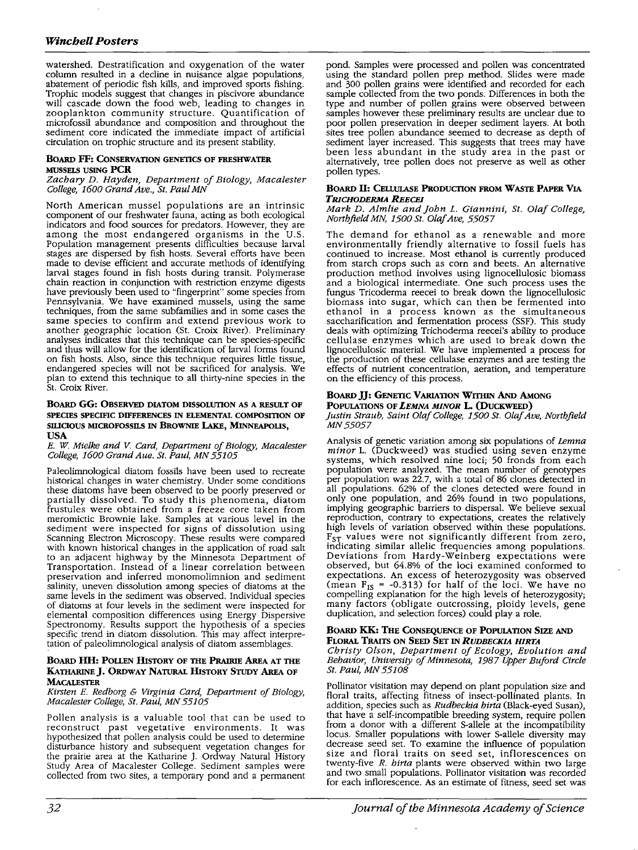# *Winchell Posters*

watershed. Destratification and oxygenation of the water column resulted in a decline in nuisance algae populations, abatement of periodic fish kills, and improved sports fishing. Trophic models suggest that changes in piscivore abundance will cascade down the food web, leading to changes in zooplankton community structure. Quantification of microfossil abundance and composition and throughout the sediment core indicated the immediate impact of artificial circulation on trophic structure and its present stability.

# **BOARD FF: CONSERVATION GENETICS OF FRESHWATER MUSSELS USING PCR**

### *Zachary D. Hayden, Department of Biology, Macalester College, 1600 Grand Ave., St. Paul MN*

North American mussel populations are an intrinsic component of our freshwater fauna, acting as both ecological indicators and food sources for predators. However, they are among the most endangered organisms in the U.S. Population management presents difficulties because larval stages are dispersed by fish hosts. Several efforts have been made to devise efficient and accurate methods of identifying larval stages found in fish hosts during transit. Polymerase chain reaction in conjunction with restriction enzyme digests have previously been used to "fingerprint" some species from Pennsylvania. We have examined mussels, using the same techniques, from the same subfamilies and in some cases the same species to confirm and extend previous work to another geographic location (St. Croix River). Preliminary analyses indicates that this technique can be species-specific and thus will allow for the identification of larval forms found on fish hosts. Also, since this technique requires little tissue, endangered species will not be sacrificed for analysis. We plan to extend this technique to all thirty-nine species in the St. Croix River.

### **BOARD GG: OBSERVED DIATOM DISSOLUTION AS A RESULT OF SPECIES SPECIFIC DIFFERENCES** IN **ELEMENTAL COMPOSITION OF SILIOOUS MICROFOSSILS** IN **BROWNIE LAKE, MINNEAPOLIS, USA**

### E. *W. Mielke and* V. *Card, Department of Biology, Macalester College, 1600 Grand Aue. St. Paul, MN 55105*

Paleolimnological diatom fossils have been used to recreate historical changes in water chemistry. Under some conditions these diatoms have been observed to be poorly preserved or partially dissolved. To study this phenomena, diatom frustules were obtained from a freeze core taken from meromictic Brownie lake. Samples at various level in the sediment were inspected for signs of dissolution using Scanning Electron Microscopy. These results were compared with known historical changes in the application of road salt to an adjacent highway by the Minnesota Department of Transportation. Instead of a linear correlation between preservation and inferred monomolimnion and sediment salinity, uneven dissolution among species of diatoms at the same levels in the sediment was observed. Individual species of diatoms at four levels in the sediment were inspected for elemental composition differences using Energy Dispersive Spectronomy. Results support the hypothesis of a species specific trend in diatom dissolution. This may affect interpretation of paleolimnological analysis of diatom assemblages.

# **BOARD HH: POLLEN HISTORY OF THE PRAIRIE AREA AT THE KA1HARINEJ. ORDWAY NATURAL HISTORY STUDY AREA OF MACALESTER**

### *Kirsten* E. *Redborg* & *Virginia Card, Department of Biology, Macalester College, St. Paul, MN 55105*

Pollen analysis is a valuable tool that can be used to reconstruct past vegetative environments. It was hypothesized that pollen analysis could be used to determine disturbance history and subsequent vegetation changes for the prairie area at the Katharine J. Ordway Natural History Study Area of Macalester College. Sediment samples were collected from two sites, a temporary pond and a permanent

pond. Samples were processed and pollen was concentrated using the standard pollen prep method. Slides were made and 300 pollen grains were identified and recorded for each sample collected from the two ponds. Differences in both the type and number of pollen grains were observed between samples however these preliminary results are unclear due to poor pollen preservation in deeper sediment layers. At both sites tree pollen abundance seemed to decrease as depth of sediment layer increased. This suggests that trees may have been less abundant in the study area in the past or alternatively, tree pollen does not preserve as well as other pollen types.

## BOARD II: **CELLULASE PRODUCTION FROM WASTE PAPER VIA**  *TRICHODERMA REECEI*

### *Mark D. Almlie and John L. Giannini, St. Olaf College, Northfield MN, 1500 St. Olaf Ave, 55057*

The demand for ethanol as a renewable and more environmentally friendly alternative to fossil fuels has continued to increase. Most ethanol is currently produced from starch crops such as com and beets. An alternative production method involves using lignocellulosic biomass and a biological intermediate. One such process uses the fungus Tricoderma reecei to break down the lignocellulosic biomass into sugar, which can then be fermented into ethanol in a process known as the simultaneous saccharification and fermentation process (SSF). This study deals with optimizing Trichoderma reecei's ability to produce cellulase enzymes which are used to break down the lignocellulosic material. We have implemented a process for the production of these cellulase enzymes and are testing the effects of nutrient concentration, aeration, and temperature on the efficiency of this process.

# **BOARD JJ: GENETIC VARIATION W11HIN AND AMONG**

#### POPULATIONS OF LEMNA MINOR L. (DUCKWEED) *Justin Straub, Saint Olaf College, 1500 St. Olaf Ave, Northfield MN55057*

Analysis of genetic variation among six populations of *Lemna minor* L. (Duckweed) was studied using seven enzyme systems, which resolved nine loci; 50 fronds from each population were analyzed. The mean number of genotypes per population was 22.7, with a total of 86 clones detected in all populations. 62% of the clones detected were found in only one population, and 26% found in two populations, implying geographic barriers to dispersal. We believe sexual reproduction, contrary to expectations, creates the relatively high levels of variation observed within these populations. F<sub>ST</sub> values were not significantly different from zero, indicating similar allelic frequencies among populations. Deviations from Hardy-Weinberg expectations were observed, but 64.8% of the loci examined conformed to expectations. An excess of heterozygosity was observed (mean  $F_{1S} = -0.313$ ) for half of the loci. We have no compelling explanation for the high levels of heterozygosity; many factors (obligate outcrossing, ploidy levels, gene duplication, and selection forces) could play a role.

# **BOARD KK: THE CONSEQUENCE OF POPULATION SIZE AND FLORAL TRAITS ON SEED SET** IN *RUDBECKIA HIRTA*

*Christy Olson, Department of Ecology, Evolution and Behavior, University of Minnesota, 1987 Upper Buford Circle St. Paul, MN 55108* 

Pollinator visitation may depend on plant population size and floral traits, affecting fitness of insect-pollinated plants. In addition, species such as *Rudbeckia hirta* (Black-eyed Susan), that have a self-incompatible breeding system, require pollen from a donor with a different S-allele at the incompatibility locus. Smaller populations with lower S-allele diversity may decrease seed set. To examine the influence of population size and floral traits on seed set, inflorescences on twenty-five *R. hirta* plants were observed within two large and two small populations. Pollinator visitation was recorded for each inflorescence. As an estimate of fitness, seed set was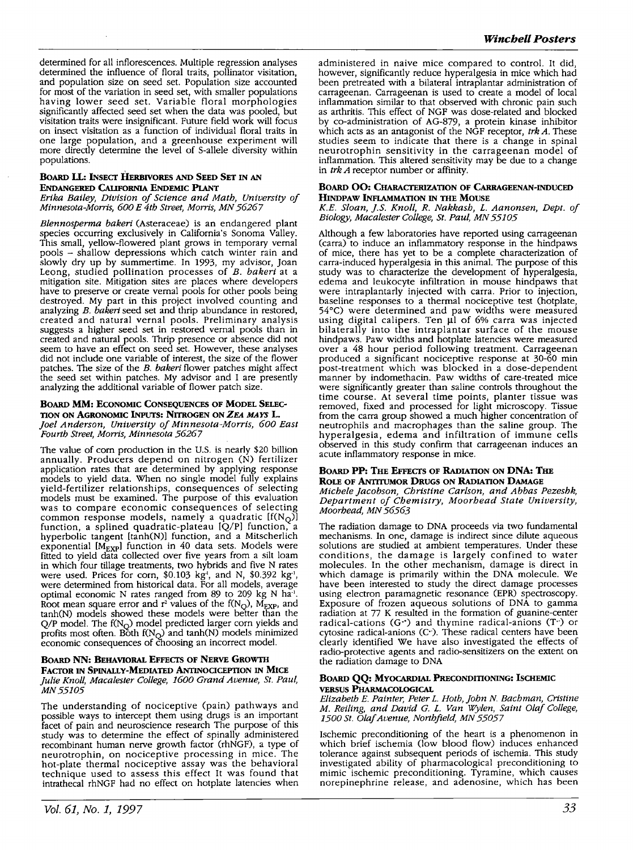determined for all inflorescences. Multiple regression analyses determined the influence of floral traits, pollinator visitation, and population size on seed set. Population size accounted for most of the variation in seed set, with smaller populations having lower seed set. Variable floral morphologies significantly affected seed set when the data was pooled, but visitation traits were insignificant. Future field work will focus on insect visitation as a function of individual floral traits in one large population, and a greenhouse experiment will more directly determine the level of S-allele diversity within populations.

# **BOARD ll: INSECT HERBIVORES AND SEED SET** IN AN **ENDANGERED CALIFORNIA ENDEMIC Pl.ANT**

*Erika Bailey, Division of Science and Math, University of Minnesota-Morris, 600 E 4th Street, Morris, MN 56267* 

*Blennosperma bakeri* (Asteraceae) is an endangered plant species occurring exclusively in California's Sonoma Valley. This small, yellow-flowered plant grows in temporary vernal pools - shallow depressions which catch winter rain and slowly dry up by summertime. In 1993, my advisor, Joan Leong, studied pollination processes of  $B$ . bakeri at a mitigation site. Mitigation sites are places where developers have to preserve or create vernal pools for other pools being destroyed. My part in this project involved counting and analyzing *B. bakeri* seed set and thrip abundance in restored, created and natural vernal pools. Preliminary analysis suggests a higher seed set in restored vernal pools than in created and natural pools. Thrip presence or absence did not seem to have an effect on seed set. However, these analyses did not include one variable of interest, the size of the flower patches. The size of the *B. bakeri* flower patches might affect the seed set within patches. My advisor and I are presently analyzing the additional variable of flower patch size.

### **BoARD MM: ECONOMIC CONSEQUENCES OF MODEL SELEC-TION ON AGRONOMIC INPuTS: NITROGEN ON** *ZEA MAYS* **L.**

*Joel Anderson, University of Minnesota-Morris, 600 East Fourth Street, Morris, Minnesota 56267* 

The value of corn production in the U.S. is nearly \$20 billion annually. Producers depend on nitrogen (N) fertilizer application rates that are determined by applying response models to yield data. When no single model fully explains yield-fertilizer relationships, consequences of selecting models must be examined. The purpose of this evaluation was to compare economic consequences of selecting common response models, namely a quadratic  $[f(N<sub>O</sub>)]$ function, a splined quadratic-plateau  $[Q/P]$  function, a hyperbolic tangent [tanh(N)] function, and a Mitscherlich exponential  $[M_{EXP}]$  function in 40 data sets. Models were fitted to yield data collected over five years from a silt loam<br>in which four tillage treatments, two hybrids and five N rates were used. Prices for corn, \$0.103 kg<sup>1</sup>, and N, \$0.392 kg<sup>1</sup>, were determined from historical data. For all models, average optimal economic N rates ranged from 89 to 209 kg N ha·'. Root mean square error and  $r^2$  values of the  $f(N_O)$ ,  $M_{EXP}$ , and tanh(N) models showed these models were better than the  $Q/P$  model. The  $f(N<sub>O</sub>)$  model predicted larger corn yields and profits most often. Both  $f(N_O)$  and tanh(N) models minimized economic consequences of choosing an incorrect model.

### **BoARD NN: BEHAVIORAL EFFECTS OF NERVE GROWTH**  FACTOR IN SPINALLY-MEDIATED ANTINOCICEPTION IN MICE *Julie Knoll, Macalester College, 1600 Grand Avenue, St. Paul, MN55105*

The understanding of nociceptive (pain) pathways and possible ways to intercept them using drugs is an important facet of pain and neuroscience research The purpose of this study was to determine the effect of spinally administered recombinant human nerve growth factor (rhNGF), a type of neurotrophin, on nociceptive processing in mice. The hot-plate thermal nociceptive assay was the behavioral technique used to assess this effect It was found that intrathecal rhNGF had no effect on hotplate latencies when

administered in naive mice compared to control. It did, however, significantly reduce hyperalgesia in mice which had been pretreated with a bilateral intraplantar administration of carrageenan. Carrageenan is used to create a model of local inflammation similar to that observed with chronic pain such as arthritis. This effect of NGF was dose-related and blocked by co-administration of AG-879, a protein kinase inhibitor which acts as an antagonist of the NGF receptor, *trk A.* These studies seem to indicate that there is a change in spinal neurotrophin sensitivity in the carrageenan model of inflammation. This altered sensitivity may be due to a change in *trk A* receptor number or affinity.

# **BOARD 00: CHARACTERIZATION OF CARRAGEENAN-INDUCED HINDPAW INFLAMMATION** IN **THE MOUSE**

*K.E. Sloan, j.S. Knoll, R. Nakkash, L. Aanonsen, Dept. of Biology, Macalester College, St. Paul, MN 55105* 

Although a few laboratories have reported using carrageenan (carra) to induce an inflammatory response in the hindpaws of mice, there has yet to be a complete characterization of carra-induced hyperalgesia in this animal. The purpose of this study was to characterize the development of hyperalgesia, edema and leukocyte infiltration in mouse hindpaws that were intraplantarly injected with carra. Prior to injection, baseline responses to a thermal nociceptive test (hotplate, 54°C) were determined and paw widths were measured using digital calipers. Ten  $\mu$ l of 6% carra was injected bilaterally into the intraplantar surface of the mouse hindpaws. Paw widths and hotplate latencies were measured over a 48 hour period following treatment. Carrageenan produced a significant nociceptive response at 30-60 min manner by indomethacin. Paw widths of care-treated mice were significantly greater than saline controls throughout the time course. At several time points, planter tissue was removed, fixed and processed for light microscopy. Tissue from the carra group showed a much higher concentration of neutrophils and macrophages than the saline group. The hyperalgesia, edema and infiltration of immune cells observed in this study confirm that carrageenan induces an acute inflammatory response in mice.

# **BOARD PP: THE EFFECTS OF RADIATION ON DNA: THE ROLE OF ANTITuMOR DRUGS ON RADIATION DAMAGE**

*Michele Jacobson, Christine Carlson, and Abbas Pezeshk, Department of Chemistry, Moorhead State University, Moorhead, MN 56563* 

The radiation damage to DNA proceeds via two fundamental mechanisms. In one, damage is indirect since dilute aqueous solutions are studied at ambient temperatures. Under these conditions, the damage is largely confined to water molecules. In the other mechanism, damage is direct in which damage is primarily within the DNA molecule. We have been interested to study the direct damage processes using electron paramagnetic resonance (EPR) spectroscopy. Exposure of frozen aqueous solutions of DNA to gamma radiation at 77 K resulted in the formation of guanine-center radical-cations  $(G^{\cdot})$  and thymine radical-anions  $(T^{\cdot})$  or cytosine radical-anions (C-). These radical centers have been clearly identified We have also investigated the effects of radio-protective agents and radio-sensitizers on the extent on the radiation damage to DNA

### **BOARD QQ: MYOCARDIAL PRECONDITIONING: ISCHEMIC VERSUS PHARMACOLOGICAL**

*Elizabeth E. Painter, Peter* L. *Hoth, John N. Bachman, Cristine M. Reiling, and David G.* L. *Van Wylen, Saint Olaf College, 1500 St. Olaf Avenue, Northfield, MN 55057* 

Ischemic preconditioning of the heart is a phenomenon in which brief ischemia (low blood flow) induces enhanced tolerance against subsequent periods of ischemia. This study investigated ability of pharmacological preconditioning to mimic ischemic preconditioning. Tyramine, which causes norepinephrine release, and adenosine, which has been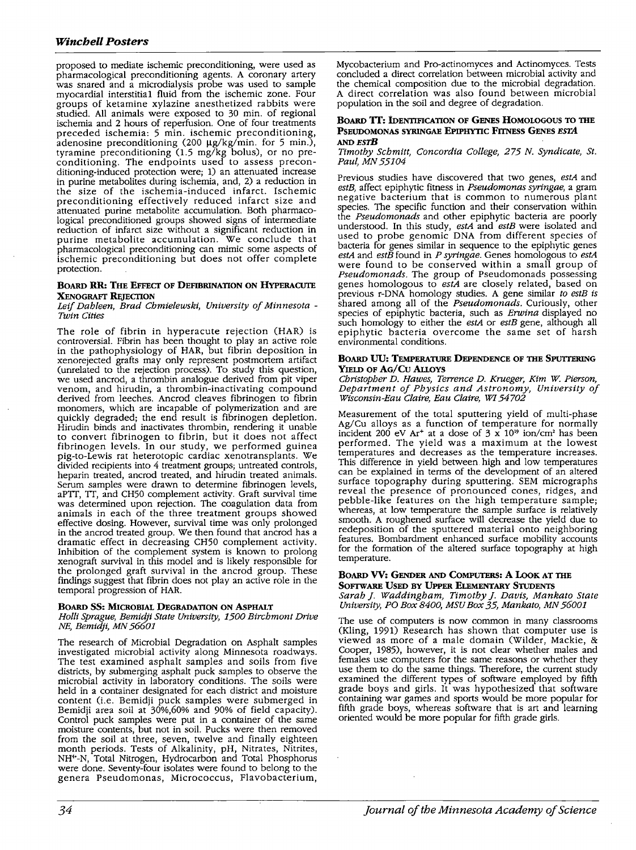proposed to mediate ischemic preconditioning, were used as pharmacological preconditioning agents. A coronary artery was snared and a microdialysis probe was used to sample myocardial interstitial fluid from the ischemic zone. Four groups of ketamine xylazine anesthetized rabbits were studied. All animals were exposed to 30 min. of regional ischemia and 2 hours of reperfusion. One of four treatments preceded ischemia: 5 min. ischemic preconditioning, adenosine preconditioning (200 µg/kg/min. for 5 min.), tyramine preconditioning (1.5 mg/kg bolus), or no preconditioning. The endpoints used to assess preconditioning-induced protection were; 1) an attenuated increase in purine metabolites during ischemia, and, 2) a reduction in the size of the ischemia-induced infarct. Ischemic preconditioning effectively reduced infarct size and attenuated purine metabolite accumulation. Both pharmacological preconditioned groups showed signs of intermediate reduction of infarct size without a significant reduction in purine metabolite accumulation. We conclude that pharmacological preconditioning can mimic some aspects of ischemic preconditioning but does not offer complete protection.

### **BOARD RR: THE EFFECT OF DEFIBRINATION ON HYPERACUTE XENOGRAFT REJECTION**

*Leif Dahleen, Brad Chmielewski, University of Minnesota* - *Twin Cities* 

The role of fibrin in hyperacute rejection (HAR) is controversial. Fibrin has been thought to play an active role in the pathophysiology of HAR, but fibrin deposition in xenorejected grafts may only represent postmortem artifact (unrelated to the rejection process). To study this question, we used ancrod, a thrombin analogue derived from pit viper venom, and hirudin, a thrombin-inactivating compound derived from leeches. Ancrod cleaves fibrinogen to fibrin<br>monomers, which are incapable of polymerization and are quickly degraded; the end result is fibrinogen depletion. Hirudin binds and inactivates thrombin, rendering it unable to convert fibrinogen to fibrin, but it does not affect fibrinogen levels. In our study, we performed guinea pig-to-Lewis rat heterotopic cardiac xenotransplants. We divided recipients into 4 treatment groups; untreated controls, heparin treated, ancrod treated, and hirudin treated animals. Serum samples were drawn to determine fibrinogen levels, aPTI, TI, and CH50 complement activity. Graft survival time was determined upon rejection. The coagulation data from animals in each of the three treatment groups showed effective dosing. However, survival time was only prolonged<br>in the ancrod treated group. We then found that ancrod has a dramatic effect in decreasing CH50 complement activity. Inhibition of the complement system is known to prolong xenograft survival in this model and is likely responsible for the prolonged graft survival in the ancrod group. These findings suggest that fibrin does not play an active role in the temporal progression of HAR.

# **BOARD SS: MICROBIAL DEGRADATION ON AsPHALT**

*Holli Sprague, Bemidji State University, 1500 Birchmont Drive NE, Bemidji, MN 56601* 

The research of Microbial Degradation on Asphalt samples investigated microbial activity along Minnesota roadways. The test examined asphalt samples and soils from five districts, by submerging asphalt puck samples to observe the microbial activity in laboratory conditions. The soils were held in a container designated for each district and moisture content (i.e. Bemidji puck samples were submerged in Bemidji area soil at  $30\%$ ,  $60\%$  and  $90\%$  of field capacity).<br>Control puck samples were put in a container of the same moisture contents, but not in soil. Pucks were then removed from the soil at three, seven, twelve and finally eighteen month periods. Tests of Alkalinity, pH, Nitrates, Nitrites, NH4 ·-N, Total Nitrogen, Hydrocarbon and Total Phosphorus were done. Seventy-four isolates were found to belong to the genera Pseudomonas, Micrococcus, Flavobacterium,

Mycobacterium and Pro-actinomyces and Actinomyces. Tests concluded a direct correlation between microbial activity and the chemical composition due to the microbial degradation. A direct correlation was also found between microbial population in the soil and degree of degradation.

### **BoARD TT: IDENTIFICATION OF GENES HOMOLOGOUS TO THE PSEUDOMONAS SYRINGAE EPIPHYTIC FITNESS GENES ESTA ANDESTB**

*Timothy Schmitt, Concordia College, 275 N. Syndicate, St. Paul, MN 55104* 

Previous studies have discovered that two genes, *estA* and *estB,* affect epiphytic fitness in *Pseudomonas syringae,* a gram negative bacterium that is common to numerous plant species. The specific function and their conservation within the *Pseudomonads* and other epiphytic bacteria are poorly understood. In this study, *estA* and *estB* were isolated and used to probe genomic DNA from different species of bacteria for genes similar in sequence to the epiphytic genes estA and estB found in P syringae. Genes homologous to estA were found to be conserved within a small group of *Pseudomonads.* The group of Pseudomonads possessing genes homologous to *estA* are closely related, based on previous r-DNA homology studies. A gene similar *to estB is*  shared among all of the *Pseudomonads.* Curiously, other species of epiphytic bacteria, such as *Erwina* displayed no such homology to either the *estA* or *estB* gene, although all epiphytic bacteria overcome the same set of harsh environmental conditions.

### **BOARD UU: TEMPERATURE DEPENDENCE OF THE SPUTIERING YIELD OF AG/Cu Alloys**

*Christopher D. Hawes, Terrence D. Krueger, Kim W. Pierson, Department of Physics and Astronomy, University of Wisconsin-Eau Claire, Eau Claire, WI 54702* 

Measurement of the total sputtering yield of multi-phase Ag/Cu alloys as a function of temperature for normally incident 200 eV Ar<sup>+</sup> at a dose of  $3 \times 10^{19}$  ion/cm<sup>2</sup> has been performed. The yield was a maximum at the lowest temperatures and decreases as the temperature increases. This difference in yield between. high and low temperatures can be explained in terms of the development of an altered surface topography during sputtering. SEM micrographs reveal the presence of pronounced cones, ridges, and pebble-like features on the high temperature sample; whereas, at low temperature the sample surface is relatively smooth. A roughened surface will decrease the yield due to redeposition of the sputtered material onto neighboring features. Bombardment enhanced surface mobility accounts for the formation of the altered surface topography at high temperature.

# **BOARD VV: GENDER AND COMPUTERS: A LooK AT THE SOFTWARE USED BY UPPER ELEMENTARY STUDENTS**

*Sarah]. Waddingbam, Timothy]. Davis, Mankato State University, PO Box 8400, MSU Box 35, Mankato, MN 56001* 

The use of computers is now common in many classrooms (Kling, 1991) Research has shown that computer use is viewed as more of a male domain (Wilder, Mackie, & Cooper, 1985), however, it is not clear whether males and females use computers for the same reasons or whether they use them to do the same things. Therefore, the current study examined the different types of software employed by fifth grade boys and girls. It was hypothesized that software containing war games and sports would be more popular for fifth grade boys, whereas software that is art and learning oriented would be more popular for fifth grade girls.